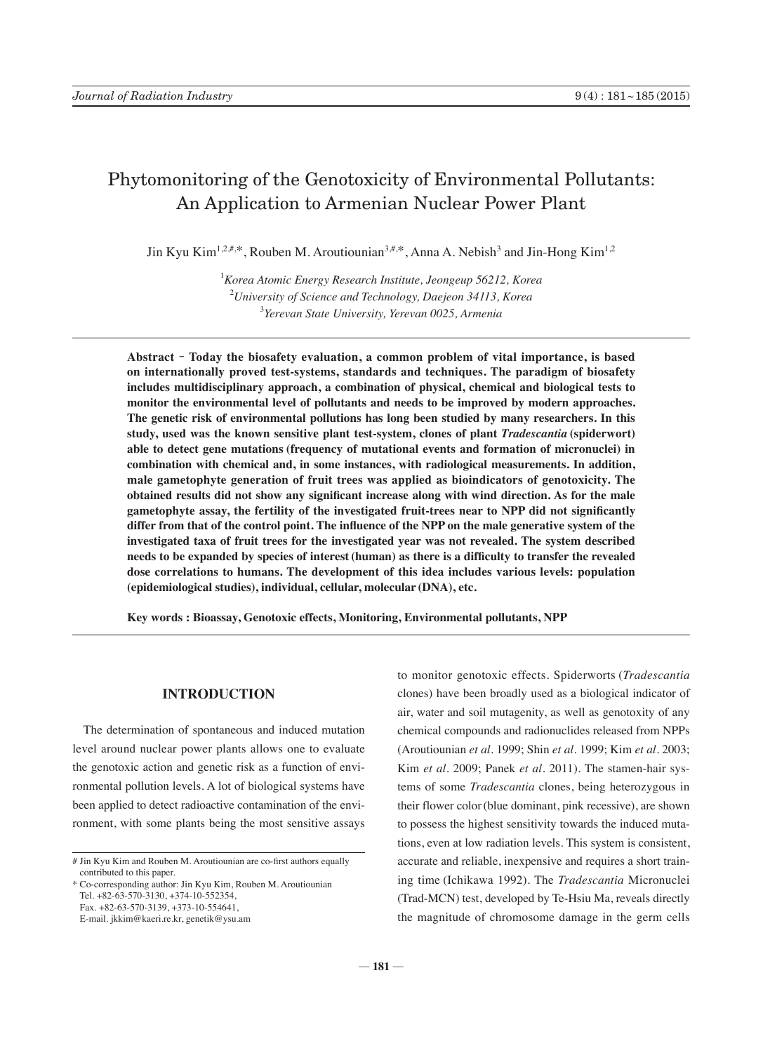# Phytomonitoring of the Genotoxicity of Environmental Pollutants: An Application to Armenian Nuclear Power Plant

Jin Kyu Kim<sup>1,2,#,\*</sup>, Rouben M. Aroutiounian<sup>3,#,\*</sup>, Anna A. Nebish<sup>3</sup> and Jin-Hong Kim<sup>1,2</sup>

1 *Korea Atomic Energy Research Institute, Jeongeup 56212, Korea* 2 *University of Science and Technology, Daejeon 34113, Korea* 3 *Yerevan State University, Yerevan 0025, Armenia*

**Abstract** - **Today the biosafety evaluation, a common problem of vital importance, is based on internationally proved test-systems, standards and techniques. The paradigm of biosafety includes multidisciplinary approach, a combination of physical, chemical and biological tests to monitor the environmental level of pollutants and needs to be improved by modern approaches. The genetic risk of environmental pollutions has long been studied by many researchers. In this study, used was the known sensitive plant test-system, clones of plant** *Tradescantia* **(spiderwort) able to detect gene mutations (frequency of mutational events and formation of micronuclei) in combination with chemical and, in some instances, with radiological measurements. In addition, male gametophyte generation of fruit trees was applied as bioindicators of genotoxicity. The obtained results did not show any significant increase along with wind direction. As for the male gametophyte assay, the fertility of the investigated fruit-trees near to NPP did not significantly differ from that of the control point. The influence of the NPP on the male generative system of the investigated taxa of fruit trees for the investigated year was not revealed. The system described needs to be expanded by species of interest (human) as there is a difficulty to transfer the revealed dose correlations to humans. The development of this idea includes various levels: population (epidemiological studies), individual, cellular, molecular (DNA), etc.**

**Key words : Bioassay, Genotoxic effects, Monitoring, Environmental pollutants, NPP**

## **INTRODUCTION**

The determination of spontaneous and induced mutation level around nuclear power plants allows one to evaluate the genotoxic action and genetic risk as a function of environmental pollution levels. A lot of biological systems have been applied to detect radioactive contamination of the environment, with some plants being the most sensitive assays

\* Co-corresponding author: Jin Kyu Kim, Rouben M. Aroutiounian Tel. +82-63-570-3130, +374-10-552354, Fax. +82-63-570-3139, +373-10-554641, E-mail. jkkim@kaeri.re.kr, genetik@ysu.am

to monitor genotoxic effects. Spiderworts (*Tradescantia* clones) have been broadly used as a biological indicator of air, water and soil mutagenity, as well as genotoxity of any chemical compounds and radionuclides released from NPPs (Aroutiounian *et al.* 1999; Shin *et al.* 1999; Kim *et al.* 2003; Kim *et al.* 2009; Panek *et al.* 2011). The stamen-hair systems of some *Tradescantia* clones, being heterozygous in their flower color(blue dominant, pink recessive), are shown to possess the highest sensitivity towards the induced mutations, even at low radiation levels. This system is consistent, accurate and reliable, inexpensive and requires a short training time (Ichikawa 1992). The *Tradescantia* Micronuclei (Trad-MCN) test, developed by Te-Hsiu Ma, reveals directly the magnitude of chromosome damage in the germ cells

<sup>#</sup> Jin Kyu Kim and Rouben M. Aroutiounian are co-first authors equally contributed to this paper.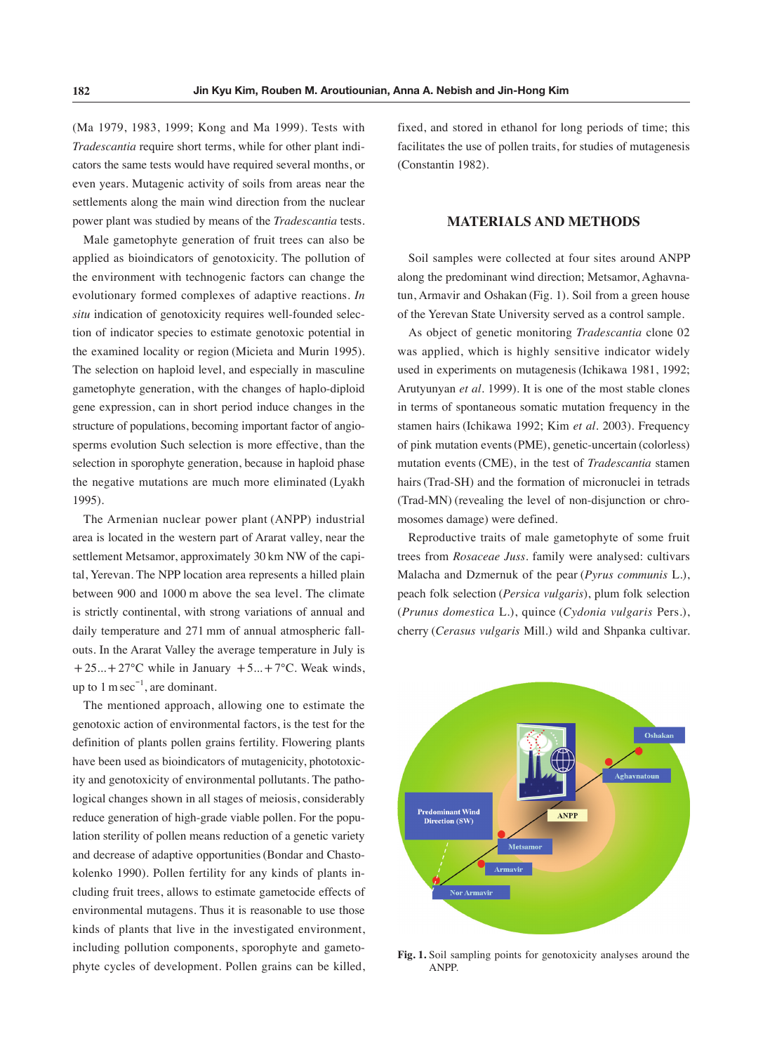(Ma 1979, 1983, 1999; Kong and Ma 1999). Tests with *Tradescantia* require short terms, while for other plant indicators the same tests would have required several months, or even years. Mutagenic activity of soils from areas near the settlements along the main wind direction from the nuclear power plant was studied by means of the *Tradescantia* tests.

Male gametophyte generation of fruit trees can also be applied as bioindicators of genotoxicity. The pollution of the environment with technogenic factors can change the evolutionary formed complexes of adaptive reactions. *In situ* indication of genotoxicity requires well-founded selection of indicator species to estimate genotoxic potential in the examined locality or region (Micieta and Murin 1995). The selection on haploid level, and especially in masculine gametophyte generation, with the changes of haplo-diploid gene expression, can in short period induce changes in the structure of populations, becoming important factor of angiosperms evolution Such selection is more effective, than the selection in sporophyte generation, because in haploid phase the negative mutations are much more eliminated (Lyakh 1995).

The Armenian nuclear power plant (ANPP) industrial area is located in the western part of Ararat valley, near the settlement Metsamor, approximately 30 km NW of the capital, Yerevan. The NPP location area represents a hilled plain between 900 and 1000 m above the sea level. The climate is strictly continental, with strong variations of annual and daily temperature and 271 mm of annual atmospheric fallouts. In the Ararat Valley the average temperature in July is  $+25...+27$ °C while in January  $+5...+7$ °C. Weak winds, up to  $1 \text{ m sec}^{-1}$ , are dominant.

The mentioned approach, allowing one to estimate the genotoxic action of environmental factors, is the test for the definition of plants pollen grains fertility. Flowering plants have been used as bioindicators of mutagenicity, phototoxicity and genotoxicity of environmental pollutants. The pathological changes shown in all stages of meiosis, considerably reduce generation of high-grade viable pollen. For the population sterility of pollen means reduction of a genetic variety and decrease of adaptive opportunities(Bondar and Chastokolenko 1990). Pollen fertility for any kinds of plants including fruit trees, allows to estimate gametocide effects of environmental mutagens. Thus it is reasonable to use those kinds of plants that live in the investigated environment, including pollution components, sporophyte and gametophyte cycles of development. Pollen grains can be killed, fixed, and stored in ethanol for long periods of time; this facilitates the use of pollen traits, for studies of mutagenesis (Constantin 1982).

#### **MATERIALS AND METHODS**

Soil samples were collected at four sites around ANPP along the predominant wind direction; Metsamor, Aghavnatun, Armavir and Oshakan (Fig. 1). Soil from a green house of the Yerevan State University served as a control sample.

As object of genetic monitoring *Tradescantia* clone 02 was applied, which is highly sensitive indicator widely used in experiments on mutagenesis (Ichikawa 1981, 1992; Arutyunyan *et al.* 1999). It is one of the most stable clones in terms of spontaneous somatic mutation frequency in the stamen hairs (Ichikawa 1992; Kim *et al.* 2003). Frequency of pink mutation events(PME), genetic-uncertain (colorless) mutation events (CME), in the test of *Tradescantia* stamen hairs(Trad-SH) and the formation of micronuclei in tetrads (Trad-MN) (revealing the level of non-disjunction or chromosomes damage) were defined.

Reproductive traits of male gametophyte of some fruit trees from *Rosaceae Juss.* family were analysed: cultivars Malacha and Dzmernuk of the pear (*Pyrus communis* L.), peach folk selection (*Persica vulgaris*), plum folk selection (*Prunus domestica* L.), quince (*Cydonia vulgaris* Pers.), cherry (*Cerasus vulgaris* Mill.) wild and Shpanka cultivar.



**Fig. 1.** Soil sampling points for genotoxicity analyses around the ANPP.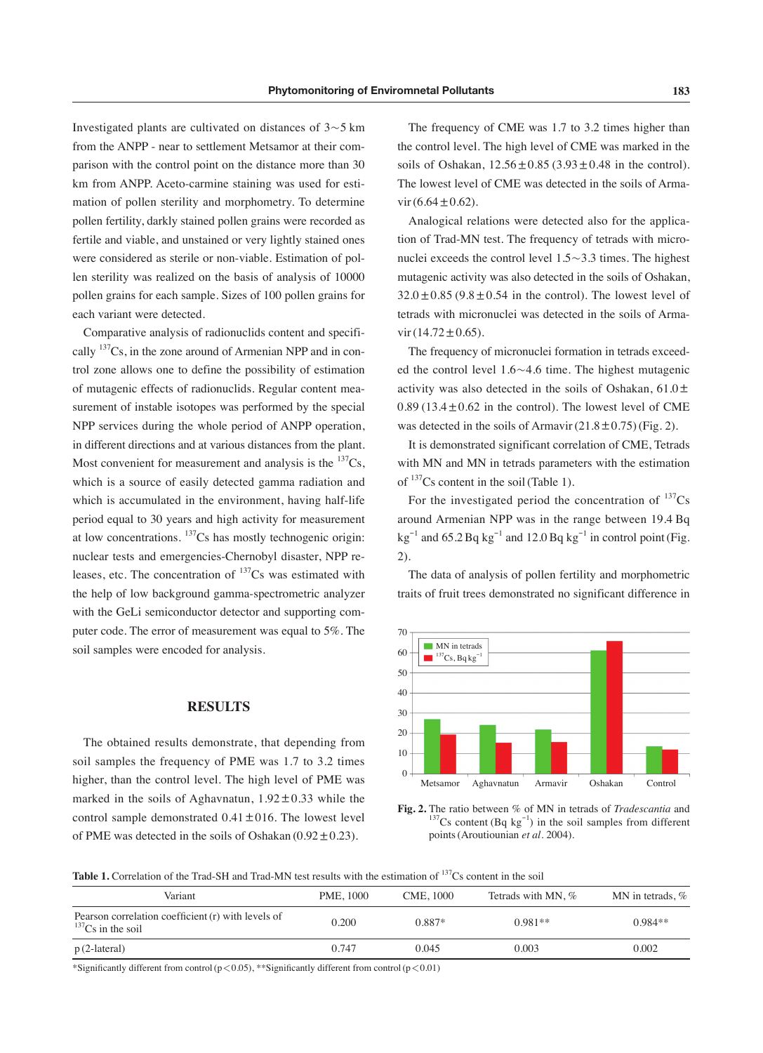Investigated plants are cultivated on distances of  $3 \sim 5$  km from the ANPP - near to settlement Metsamor at their comparison with the control point on the distance more than 30 km from ANPP. Aceto-carmine staining was used for estimation of pollen sterility and morphometry. To determine pollen fertility, darkly stained pollen grains were recorded as fertile and viable, and unstained or very lightly stained ones were considered as sterile or non-viable. Estimation of pollen sterility was realized on the basis of analysis of 10000 pollen grains for each sample. Sizes of 100 pollen grains for each variant were detected.

Comparative analysis of radionuclids content and specifically  $137Cs$ , in the zone around of Armenian NPP and in control zone allows one to define the possibility of estimation of mutagenic effects of radionuclids. Regular content measurement of instable isotopes was performed by the special NPP services during the whole period of ANPP operation, in different directions and at various distances from the plant. Most convenient for measurement and analysis is the  $137Cs$ , which is a source of easily detected gamma radiation and which is accumulated in the environment, having half-life period equal to 30 years and high activity for measurement at low concentrations.  $\frac{137}{c}$ Cs has mostly technogenic origin: nuclear tests and emergencies-Chernobyl disaster, NPP releases, etc. The concentration of  $137Cs$  was estimated with the help of low background gamma-spectrometric analyzer with the GeLi semiconductor detector and supporting computer code. The error of measurement was equal to 5%. The soil samples were encoded for analysis.

#### **RESULTS**

The obtained results demonstrate, that depending from soil samples the frequency of PME was 1.7 to 3.2 times higher, than the control level. The high level of PME was marked in the soils of Aghavnatun,  $1.92 \pm 0.33$  while the control sample demonstrated  $0.41 \pm 016$ . The lowest level of PME was detected in the soils of Oshakan  $(0.92 \pm 0.23)$ .

The frequency of CME was 1.7 to 3.2 times higher than the control level. The high level of CME was marked in the soils of Oshakan,  $12.56 \pm 0.85$  (3.93 $\pm$ 0.48 in the control). The lowest level of CME was detected in the soils of Arma $vir(6.64\pm0.62)$ .

Analogical relations were detected also for the application of Trad-MN test. The frequency of tetrads with micronuclei exceeds the control level  $1.5 \sim 3.3$  times. The highest mutagenic activity was also detected in the soils of Oshakan,  $32.0 \pm 0.85$  (9.8 $\pm 0.54$  in the control). The lowest level of tetrads with micronuclei was detected in the soils of Armavir $(14.72 \pm 0.65)$ .

The frequency of micronuclei formation in tetrads exceeded the control level  $1.6 \sim 4.6$  time. The highest mutagenic activity was also detected in the soils of Oshakan,  $61.0 \pm$  $0.89$  (13.4 $\pm$ 0.62 in the control). The lowest level of CME was detected in the soils of Armavir  $(21.8 \pm 0.75)$  (Fig. 2).

It is demonstrated significant correlation of CME, Tetrads with MN and MN in tetrads parameters with the estimation of  $137$ Cs content in the soil (Table 1).

For the investigated period the concentration of  $^{137}Cs$ around Armenian NPP was in the range between 19.4 Bq  $kg^{-1}$  and 65.2 Bq  $kg^{-1}$  and 12.0 Bq  $kg^{-1}$  in control point (Fig. 2).

The data of analysis of pollen fertility and morphometric traits of fruit trees demonstrated no significant difference in



**Fig. 2.** The ratio between % of MN in tetrads of *Tradescantia* and  $^{137}$ Cs content (Bq kg<sup>-1</sup>) in the soil samples from different points(Aroutiounian *et al.* 2004).

Table 1. Correlation of the Trad-SH and Trad-MN test results with the estimation of <sup>137</sup>Cs content in the soil

| Variant                                                                        | PME, 1000 | CME, 1000 | Tetrads with MN, % | MN in tetrads, $%$ |
|--------------------------------------------------------------------------------|-----------|-----------|--------------------|--------------------|
| Pearson correlation coefficient (r) with levels of<br>${}^{137}Cs$ in the soil | 0.200     | $0.887*$  | $0.981**$          | $0.984**$          |
| $p(2$ -lateral)                                                                | 0.747     | 0.045     | 0.003              | 0.002              |

\*Significantly different from control(p<0.05), \*\*Significantly different from control(p<0.01)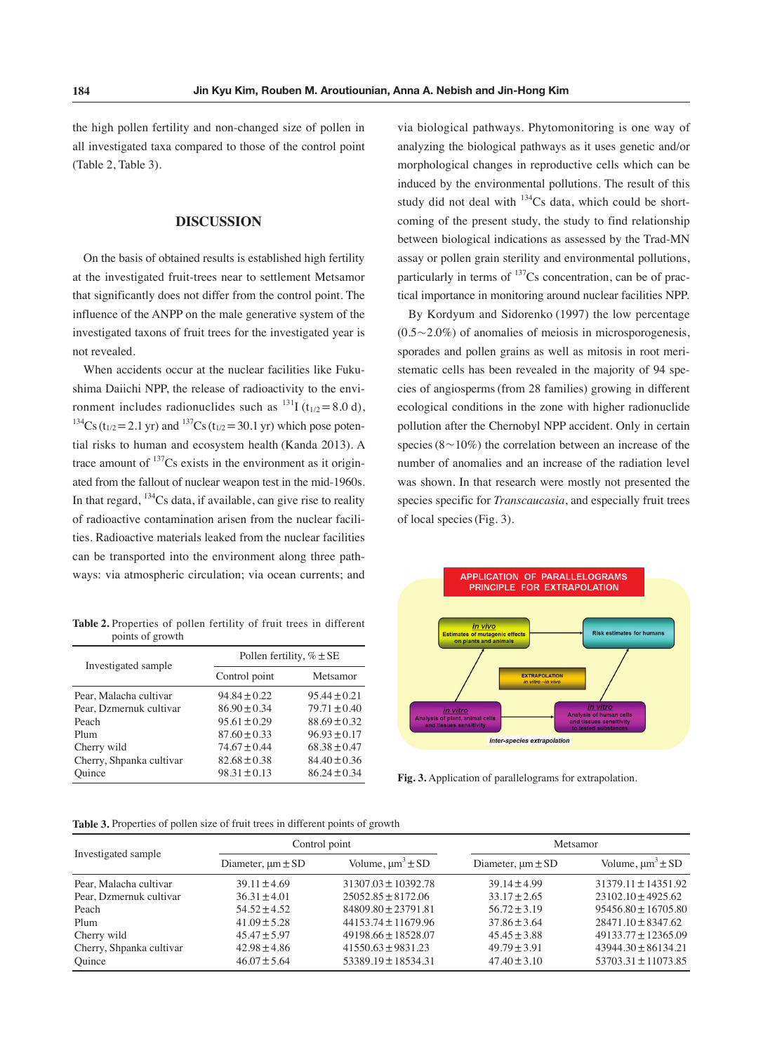the high pollen fertility and non-changed size of pollen in all investigated taxa compared to those of the control point (Table 2, Table 3).

#### **DISCUSSION**

On the basis of obtained results is established high fertility at the investigated fruit-trees near to settlement Metsamor that significantly does not differ from the control point. The influence of the ANPP on the male generative system of the investigated taxons of fruit trees for the investigated year is not revealed.

When accidents occur at the nuclear facilities like Fukushima Daiichi NPP, the release of radioactivity to the environment includes radionuclides such as  $^{131}$ I (t<sub>1/2</sub> = 8.0 d), <sup>134</sup>Cs (t<sub>1/2</sub> = 2.1 yr) and <sup>137</sup>Cs (t<sub>1/2</sub> = 30.1 yr) which pose potential risks to human and ecosystem health (Kanda 2013). A trace amount of  $137Cs$  exists in the environment as it originated from the fallout of nuclear weapon test in the mid-1960s. In that regard,  $^{134}$ Cs data, if available, can give rise to reality of radioactive contamination arisen from the nuclear facilities. Radioactive materials leaked from the nuclear facilities can be transported into the environment along three pathways: via atmospheric circulation; via ocean currents; and

**Table 2.** Properties of pollen fertility of fruit trees in different points of growth

|                          | Pollen fertility, $\% \pm SE$ |                  |  |  |
|--------------------------|-------------------------------|------------------|--|--|
| Investigated sample      | Control point                 | Metsamor         |  |  |
| Pear, Malacha cultivar   | $94.84 \pm 0.22$              | $95.44 \pm 0.21$ |  |  |
| Pear, Dzmernuk cultivar  | $86.90 \pm 0.34$              | $79.71 \pm 0.40$ |  |  |
| Peach                    | $95.61 \pm 0.29$              | $88.69 \pm 0.32$ |  |  |
| Plum                     | $87.60 \pm 0.33$              | $96.93 \pm 0.17$ |  |  |
| Cherry wild              | $74.67 \pm 0.44$              | $68.38 \pm 0.47$ |  |  |
| Cherry, Shpanka cultivar | $82.68 \pm 0.38$              | $84.40 \pm 0.36$ |  |  |
| Ouince                   | $98.31 \pm 0.13$              | $86.24 \pm 0.34$ |  |  |

via biological pathways. Phytomonitoring is one way of analyzing the biological pathways as it uses genetic and/or morphological changes in reproductive cells which can be induced by the environmental pollutions. The result of this study did not deal with  $^{134}Cs$  data, which could be shortcoming of the present study, the study to find relationship between biological indications as assessed by the Trad-MN assay or pollen grain sterility and environmental pollutions, particularly in terms of  $137$ Cs concentration, can be of practical importance in monitoring around nuclear facilities NPP.

By Kordyum and Sidorenko (1997) the low percentage  $(0.5 \sim 2.0\%)$  of anomalies of meiosis in microsporogenesis, sporades and pollen grains as well as mitosis in root meristematic cells has been revealed in the majority of 94 species of angiosperms(from 28 families) growing in different ecological conditions in the zone with higher radionuclide pollution after the Chernobyl NPP accident. Only in certain species ( $8 \sim 10\%$ ) the correlation between an increase of the number of anomalies and an increase of the radiation level was shown. In that research were mostly not presented the species specific for *Transcaucasia*, and especially fruit trees of local species(Fig. 3).



**Fig. 3.** Application of parallelograms for extrapolation.

| Table 3. Properties of pollen size of fruit trees in different points of growth |  |  |  |  |
|---------------------------------------------------------------------------------|--|--|--|--|
|---------------------------------------------------------------------------------|--|--|--|--|

| Investigated sample      | Control point              |                          |                            | Metsamor                 |  |  |
|--------------------------|----------------------------|--------------------------|----------------------------|--------------------------|--|--|
|                          | Diameter, $\mu$ m $\pm$ SD | Volume, $\mu m^3 \pm SD$ | Diameter, $\mu$ m $\pm$ SD | Volume, $\mu m^3 \pm SD$ |  |  |
| Pear, Malacha cultivar   | $39.11 + 4.69$             | $31307.03 \pm 10392.78$  | $39.14 + 4.99$             | $31379.11 \pm 14351.92$  |  |  |
| Pear, Dzmernuk cultivar  | $36.31 \pm 4.01$           | $25052.85 \pm 8172.06$   | $33.17 \pm 2.65$           | $23102.10 \pm 4925.62$   |  |  |
| Peach                    | $54.52 \pm 4.52$           | $84809.80 \pm 23791.81$  | $56.72 \pm 3.19$           | $95456.80 \pm 16705.80$  |  |  |
| Plum                     | $41.09 \pm 5.28$           | $44153.74 \pm 11679.96$  | $37.86 \pm 3.64$           | $28471.10 \pm 8347.62$   |  |  |
| Cherry wild              | $45.47 + 5.97$             | $49198.66 \pm 18528.07$  | $45.45 \pm 3.88$           | $49133.77 \pm 12365.09$  |  |  |
| Cherry, Shpanka cultivar | $42.98 \pm 4.86$           | $41550.63 \pm 9831.23$   | $49.79 + 3.91$             | $43944.30 \pm 86134.21$  |  |  |
| Ouince                   | $46.07 \pm 5.64$           | $53389.19 \pm 18534.31$  | $47.40 \pm 3.10$           | $53703.31 \pm 11073.85$  |  |  |